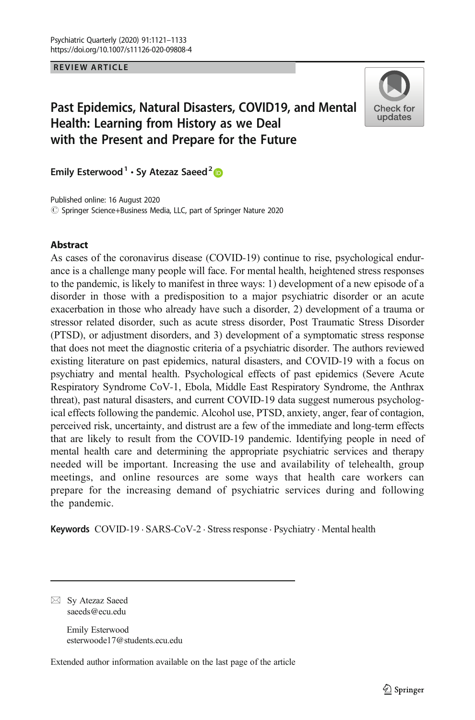REVIEW ARTICLE

# Past Epidemics, Natural Disasters, COVID19, and Mental Health: Learning from History as we Deal with the Present and Prepare for the Future



Emily Esterwood<sup>1</sup> · Sy Atezaz Saeed<sup>2</sup>

© Springer Science+Business Media, LLC, part of Springer Nature 2020 Published online: 16 August 2020

### Abstract

As cases of the coronavirus disease (COVID-19) continue to rise, psychological endurance is a challenge many people will face. For mental health, heightened stress responses to the pandemic, is likely to manifest in three ways: 1) development of a new episode of a disorder in those with a predisposition to a major psychiatric disorder or an acute exacerbation in those who already have such a disorder, 2) development of a trauma or stressor related disorder, such as acute stress disorder, Post Traumatic Stress Disorder (PTSD), or adjustment disorders, and 3) development of a symptomatic stress response that does not meet the diagnostic criteria of a psychiatric disorder. The authors reviewed existing literature on past epidemics, natural disasters, and COVID-19 with a focus on psychiatry and mental health. Psychological effects of past epidemics (Severe Acute Respiratory Syndrome CoV-1, Ebola, Middle East Respiratory Syndrome, the Anthrax threat), past natural disasters, and current COVID-19 data suggest numerous psychological effects following the pandemic. Alcohol use, PTSD, anxiety, anger, fear of contagion, perceived risk, uncertainty, and distrust are a few of the immediate and long-term effects that are likely to result from the COVID-19 pandemic. Identifying people in need of mental health care and determining the appropriate psychiatric services and therapy needed will be important. Increasing the use and availability of telehealth, group meetings, and online resources are some ways that health care workers can prepare for the increasing demand of psychiatric services during and following the pandemic.

Keywords COVID-19 · SARS-CoV-2 · Stress response · Psychiatry · Mental health

 $\boxtimes$  Sy Atezaz Saeed [saeeds@ecu.edu](mailto:saeeds@ecu.edu)

> Emily Esterwood esterwoode17@students.ecu.edu

Extended author information available on the last page of the article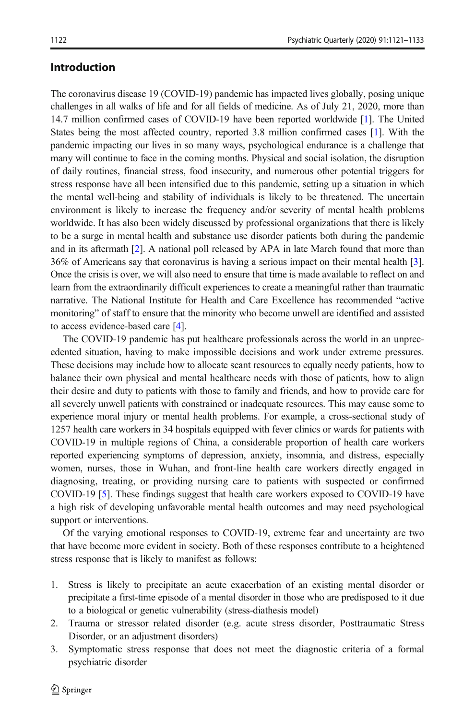## Introduction

The coronavirus disease 19 (COVID-19) pandemic has impacted lives globally, posing unique challenges in all walks of life and for all fields of medicine. As of July 21, 2020, more than 14.7 million confirmed cases of COVID-19 have been reported worldwide [[1](#page-10-0)]. The United States being the most affected country, reported 3.8 million confirmed cases [[1](#page-10-0)]. With the pandemic impacting our lives in so many ways, psychological endurance is a challenge that many will continue to face in the coming months. Physical and social isolation, the disruption of daily routines, financial stress, food insecurity, and numerous other potential triggers for stress response have all been intensified due to this pandemic, setting up a situation in which the mental well-being and stability of individuals is likely to be threatened. The uncertain environment is likely to increase the frequency and/or severity of mental health problems worldwide. It has also been widely discussed by professional organizations that there is likely to be a surge in mental health and substance use disorder patients both during the pandemic and in its aftermath [[2](#page-10-0)]. A national poll released by APA in late March found that more than 36% of Americans say that coronavirus is having a serious impact on their mental health [[3](#page-10-0)]. Once the crisis is over, we will also need to ensure that time is made available to reflect on and learn from the extraordinarily difficult experiences to create a meaningful rather than traumatic narrative. The National Institute for Health and Care Excellence has recommended "active monitoring" of staff to ensure that the minority who become unwell are identified and assisted to access evidence-based care [[4](#page-10-0)].

The COVID-19 pandemic has put healthcare professionals across the world in an unprecedented situation, having to make impossible decisions and work under extreme pressures. These decisions may include how to allocate scant resources to equally needy patients, how to balance their own physical and mental healthcare needs with those of patients, how to align their desire and duty to patients with those to family and friends, and how to provide care for all severely unwell patients with constrained or inadequate resources. This may cause some to experience moral injury or mental health problems. For example, a cross-sectional study of 1257 health care workers in 34 hospitals equipped with fever clinics or wards for patients with COVID-19 in multiple regions of China, a considerable proportion of health care workers reported experiencing symptoms of depression, anxiety, insomnia, and distress, especially women, nurses, those in Wuhan, and front-line health care workers directly engaged in diagnosing, treating, or providing nursing care to patients with suspected or confirmed COVID-19 [\[5\]](#page-10-0). These findings suggest that health care workers exposed to COVID-19 have a high risk of developing unfavorable mental health outcomes and may need psychological support or interventions.

Of the varying emotional responses to COVID-19, extreme fear and uncertainty are two that have become more evident in society. Both of these responses contribute to a heightened stress response that is likely to manifest as follows:

- 1. Stress is likely to precipitate an acute exacerbation of an existing mental disorder or precipitate a first-time episode of a mental disorder in those who are predisposed to it due to a biological or genetic vulnerability (stress-diathesis model)
- 2. Trauma or stressor related disorder (e.g. acute stress disorder, Posttraumatic Stress Disorder, or an adjustment disorders)
- 3. Symptomatic stress response that does not meet the diagnostic criteria of a formal psychiatric disorder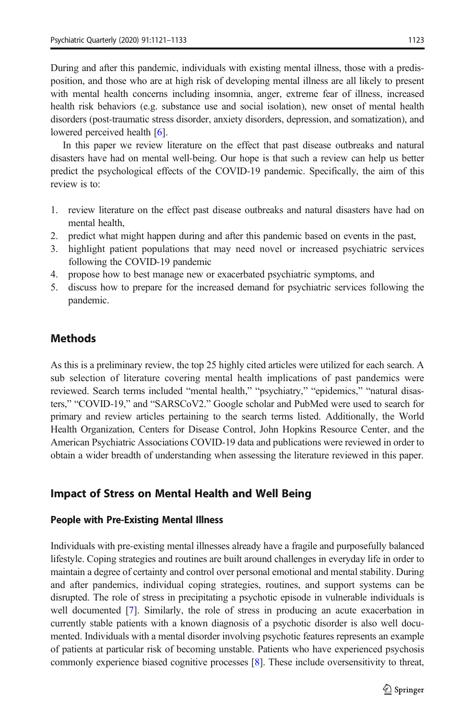During and after this pandemic, individuals with existing mental illness, those with a predisposition, and those who are at high risk of developing mental illness are all likely to present with mental health concerns including insomnia, anger, extreme fear of illness, increased health risk behaviors (e.g. substance use and social isolation), new onset of mental health disorders (post-traumatic stress disorder, anxiety disorders, depression, and somatization), and lowered perceived health [\[6](#page-10-0)].

In this paper we review literature on the effect that past disease outbreaks and natural disasters have had on mental well-being. Our hope is that such a review can help us better predict the psychological effects of the COVID-19 pandemic. Specifically, the aim of this review is to:

- 1. review literature on the effect past disease outbreaks and natural disasters have had on mental health,
- 2. predict what might happen during and after this pandemic based on events in the past,
- 3. highlight patient populations that may need novel or increased psychiatric services following the COVID-19 pandemic
- 4. propose how to best manage new or exacerbated psychiatric symptoms, and
- 5. discuss how to prepare for the increased demand for psychiatric services following the pandemic.

## Methods

As this is a preliminary review, the top 25 highly cited articles were utilized for each search. A sub selection of literature covering mental health implications of past pandemics were reviewed. Search terms included "mental health," "psychiatry," "epidemics," "natural disasters," "COVID-19," and "SARSCoV2." Google scholar and PubMed were used to search for primary and review articles pertaining to the search terms listed. Additionally, the World Health Organization, Centers for Disease Control, John Hopkins Resource Center, and the American Psychiatric Associations COVID-19 data and publications were reviewed in order to obtain a wider breadth of understanding when assessing the literature reviewed in this paper.

## Impact of Stress on Mental Health and Well Being

## People with Pre-Existing Mental Illness

Individuals with pre-existing mental illnesses already have a fragile and purposefully balanced lifestyle. Coping strategies and routines are built around challenges in everyday life in order to maintain a degree of certainty and control over personal emotional and mental stability. During and after pandemics, individual coping strategies, routines, and support systems can be disrupted. The role of stress in precipitating a psychotic episode in vulnerable individuals is well documented [\[7\]](#page-10-0). Similarly, the role of stress in producing an acute exacerbation in currently stable patients with a known diagnosis of a psychotic disorder is also well documented. Individuals with a mental disorder involving psychotic features represents an example of patients at particular risk of becoming unstable. Patients who have experienced psychosis commonly experience biased cognitive processes [[8](#page-10-0)]. These include oversensitivity to threat,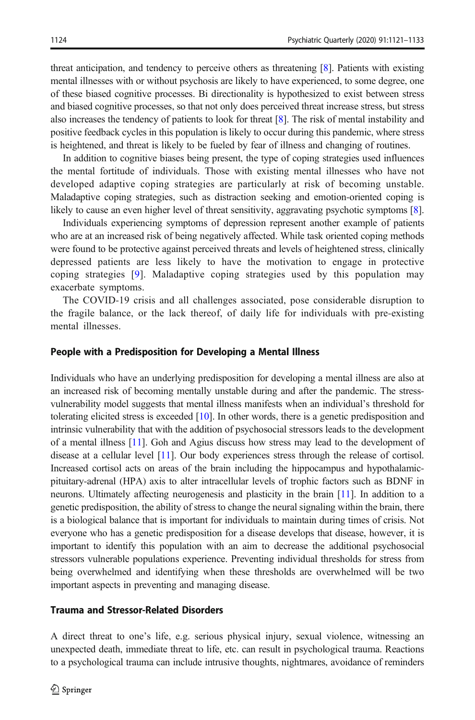threat anticipation, and tendency to perceive others as threatening [\[8\]](#page-10-0). Patients with existing mental illnesses with or without psychosis are likely to have experienced, to some degree, one of these biased cognitive processes. Bi directionality is hypothesized to exist between stress and biased cognitive processes, so that not only does perceived threat increase stress, but stress also increases the tendency of patients to look for threat [[8](#page-10-0)]. The risk of mental instability and positive feedback cycles in this population is likely to occur during this pandemic, where stress is heightened, and threat is likely to be fueled by fear of illness and changing of routines.

In addition to cognitive biases being present, the type of coping strategies used influences the mental fortitude of individuals. Those with existing mental illnesses who have not developed adaptive coping strategies are particularly at risk of becoming unstable. Maladaptive coping strategies, such as distraction seeking and emotion-oriented coping is likely to cause an even higher level of threat sensitivity, aggravating psychotic symptoms [[8](#page-10-0)].

Individuals experiencing symptoms of depression represent another example of patients who are at an increased risk of being negatively affected. While task oriented coping methods were found to be protective against perceived threats and levels of heightened stress, clinically depressed patients are less likely to have the motivation to engage in protective coping strategies [[9](#page-10-0)]. Maladaptive coping strategies used by this population may exacerbate symptoms.

The COVID-19 crisis and all challenges associated, pose considerable disruption to the fragile balance, or the lack thereof, of daily life for individuals with pre-existing mental illnesses.

#### People with a Predisposition for Developing a Mental Illness

Individuals who have an underlying predisposition for developing a mental illness are also at an increased risk of becoming mentally unstable during and after the pandemic. The stressvulnerability model suggests that mental illness manifests when an individual's threshold for tolerating elicited stress is exceeded  $[10]$  $[10]$ . In other words, there is a genetic predisposition and intrinsic vulnerability that with the addition of psychosocial stressors leads to the development of a mental illness [\[11](#page-11-0)]. Goh and Agius discuss how stress may lead to the development of disease at a cellular level [[11](#page-11-0)]. Our body experiences stress through the release of cortisol. Increased cortisol acts on areas of the brain including the hippocampus and hypothalamicpituitary-adrenal (HPA) axis to alter intracellular levels of trophic factors such as BDNF in neurons. Ultimately affecting neurogenesis and plasticity in the brain [\[11](#page-11-0)]. In addition to a genetic predisposition, the ability of stress to change the neural signaling within the brain, there is a biological balance that is important for individuals to maintain during times of crisis. Not everyone who has a genetic predisposition for a disease develops that disease, however, it is important to identify this population with an aim to decrease the additional psychosocial stressors vulnerable populations experience. Preventing individual thresholds for stress from being overwhelmed and identifying when these thresholds are overwhelmed will be two important aspects in preventing and managing disease.

#### Trauma and Stressor-Related Disorders

A direct threat to one's life, e.g. serious physical injury, sexual violence, witnessing an unexpected death, immediate threat to life, etc. can result in psychological trauma. Reactions to a psychological trauma can include intrusive thoughts, nightmares, avoidance of reminders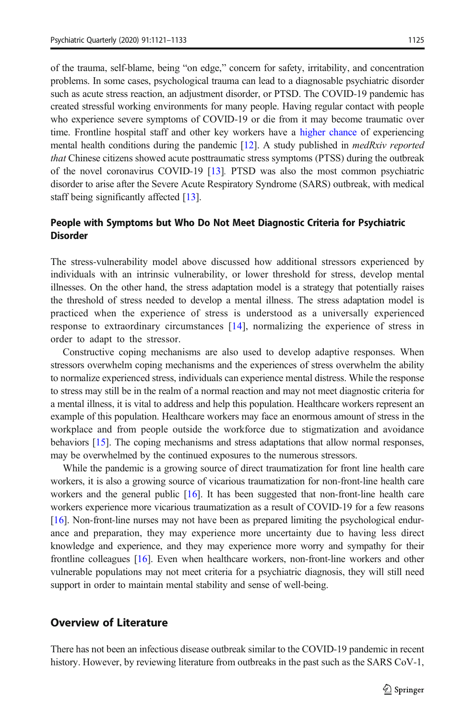of the trauma, self-blame, being "on edge," concern for safety, irritability, and concentration problems. In some cases, psychological trauma can lead to a diagnosable psychiatric disorder such as acute stress reaction, an adjustment disorder, or PTSD. The COVID-19 pandemic has created stressful working environments for many people. Having regular contact with people who experience severe symptoms of COVID-19 or die from it may become traumatic over time. Frontline hospital staff and other key workers have a [higher chance](https://www.bmj.com/content/368/bmj.m1211) of experiencing mental health conditions during the pandemic  $[12]$  $[12]$ . A study published in *medRxiv reported* that Chinese citizens showed acute posttraumatic stress symptoms (PTSS) during the outbreak of the novel coronavirus COVID-19 [\[13](#page-11-0)]. PTSD was also the most common psychiatric disorder to arise after the Severe Acute Respiratory Syndrome (SARS) outbreak, with medical staff being significantly affected [\[13](#page-11-0)].

#### People with Symptoms but Who Do Not Meet Diagnostic Criteria for Psychiatric Disorder

The stress-vulnerability model above discussed how additional stressors experienced by individuals with an intrinsic vulnerability, or lower threshold for stress, develop mental illnesses. On the other hand, the stress adaptation model is a strategy that potentially raises the threshold of stress needed to develop a mental illness. The stress adaptation model is practiced when the experience of stress is understood as a universally experienced response to extraordinary circumstances [[14](#page-11-0)], normalizing the experience of stress in order to adapt to the stressor.

Constructive coping mechanisms are also used to develop adaptive responses. When stressors overwhelm coping mechanisms and the experiences of stress overwhelm the ability to normalize experienced stress, individuals can experience mental distress. While the response to stress may still be in the realm of a normal reaction and may not meet diagnostic criteria for a mental illness, it is vital to address and help this population. Healthcare workers represent an example of this population. Healthcare workers may face an enormous amount of stress in the workplace and from people outside the workforce due to stigmatization and avoidance behaviors [\[15\]](#page-11-0). The coping mechanisms and stress adaptations that allow normal responses, may be overwhelmed by the continued exposures to the numerous stressors.

While the pandemic is a growing source of direct traumatization for front line health care workers, it is also a growing source of vicarious traumatization for non-front-line health care workers and the general public [\[16](#page-11-0)]. It has been suggested that non-front-line health care workers experience more vicarious traumatization as a result of COVID-19 for a few reasons [[16\]](#page-11-0). Non-front-line nurses may not have been as prepared limiting the psychological endurance and preparation, they may experience more uncertainty due to having less direct knowledge and experience, and they may experience more worry and sympathy for their frontline colleagues [\[16](#page-11-0)]. Even when healthcare workers, non-front-line workers and other vulnerable populations may not meet criteria for a psychiatric diagnosis, they will still need support in order to maintain mental stability and sense of well-being.

### Overview of Literature

There has not been an infectious disease outbreak similar to the COVID-19 pandemic in recent history. However, by reviewing literature from outbreaks in the past such as the SARS CoV-1,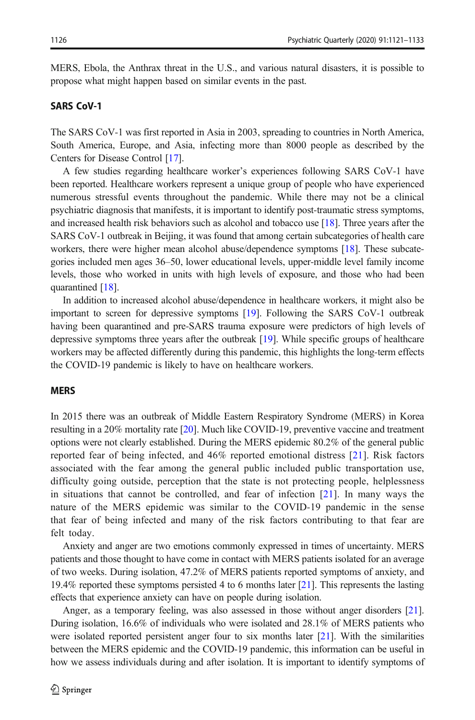MERS, Ebola, the Anthrax threat in the U.S., and various natural disasters, it is possible to propose what might happen based on similar events in the past.

#### SARS CoV-1

The SARS CoV-1 was first reported in Asia in 2003, spreading to countries in North America, South America, Europe, and Asia, infecting more than 8000 people as described by the Centers for Disease Control [[17](#page-11-0)].

A few studies regarding healthcare worker's experiences following SARS CoV-1 have been reported. Healthcare workers represent a unique group of people who have experienced numerous stressful events throughout the pandemic. While there may not be a clinical psychiatric diagnosis that manifests, it is important to identify post-traumatic stress symptoms, and increased health risk behaviors such as alcohol and tobacco use [\[18\]](#page-11-0). Three years after the SARS CoV-1 outbreak in Beijing, it was found that among certain subcategories of health care workers, there were higher mean alcohol abuse/dependence symptoms [\[18](#page-11-0)]. These subcategories included men ages 36–50, lower educational levels, upper-middle level family income levels, those who worked in units with high levels of exposure, and those who had been quarantined [[18\]](#page-11-0).

In addition to increased alcohol abuse/dependence in healthcare workers, it might also be important to screen for depressive symptoms [[19](#page-11-0)]. Following the SARS CoV-1 outbreak having been quarantined and pre-SARS trauma exposure were predictors of high levels of depressive symptoms three years after the outbreak [\[19](#page-11-0)]. While specific groups of healthcare workers may be affected differently during this pandemic, this highlights the long-term effects the COVID-19 pandemic is likely to have on healthcare workers.

#### MERS

In 2015 there was an outbreak of Middle Eastern Respiratory Syndrome (MERS) in Korea resulting in a 20% mortality rate [[20\]](#page-11-0). Much like COVID-19, preventive vaccine and treatment options were not clearly established. During the MERS epidemic 80.2% of the general public reported fear of being infected, and 46% reported emotional distress [\[21](#page-11-0)]. Risk factors associated with the fear among the general public included public transportation use, difficulty going outside, perception that the state is not protecting people, helplessness in situations that cannot be controlled, and fear of infection [\[21\]](#page-11-0). In many ways the nature of the MERS epidemic was similar to the COVID-19 pandemic in the sense that fear of being infected and many of the risk factors contributing to that fear are felt today.

Anxiety and anger are two emotions commonly expressed in times of uncertainty. MERS patients and those thought to have come in contact with MERS patients isolated for an average of two weeks. During isolation, 47.2% of MERS patients reported symptoms of anxiety, and 19.4% reported these symptoms persisted 4 to 6 months later [[21](#page-11-0)]. This represents the lasting effects that experience anxiety can have on people during isolation.

Anger, as a temporary feeling, was also assessed in those without anger disorders [\[21](#page-11-0)]. During isolation, 16.6% of individuals who were isolated and 28.1% of MERS patients who were isolated reported persistent anger four to six months later [[21\]](#page-11-0). With the similarities between the MERS epidemic and the COVID-19 pandemic, this information can be useful in how we assess individuals during and after isolation. It is important to identify symptoms of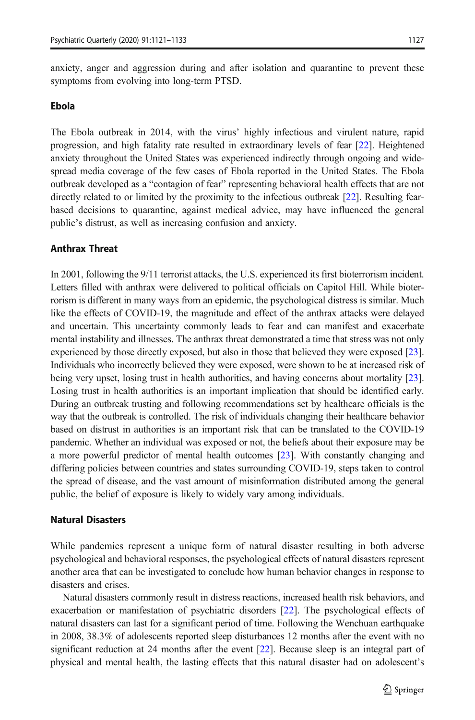anxiety, anger and aggression during and after isolation and quarantine to prevent these symptoms from evolving into long-term PTSD.

#### Ebola

The Ebola outbreak in 2014, with the virus' highly infectious and virulent nature, rapid progression, and high fatality rate resulted in extraordinary levels of fear [\[22](#page-11-0)]. Heightened anxiety throughout the United States was experienced indirectly through ongoing and widespread media coverage of the few cases of Ebola reported in the United States. The Ebola outbreak developed as a "contagion of fear" representing behavioral health effects that are not directly related to or limited by the proximity to the infectious outbreak [\[22](#page-11-0)]. Resulting fearbased decisions to quarantine, against medical advice, may have influenced the general public's distrust, as well as increasing confusion and anxiety.

#### Anthrax Threat

In 2001, following the 9/11 terrorist attacks, the U.S. experienced its first bioterrorism incident. Letters filled with anthrax were delivered to political officials on Capitol Hill. While bioterrorism is different in many ways from an epidemic, the psychological distress is similar. Much like the effects of COVID-19, the magnitude and effect of the anthrax attacks were delayed and uncertain. This uncertainty commonly leads to fear and can manifest and exacerbate mental instability and illnesses. The anthrax threat demonstrated a time that stress was not only experienced by those directly exposed, but also in those that believed they were exposed [\[23](#page-11-0)]. Individuals who incorrectly believed they were exposed, were shown to be at increased risk of being very upset, losing trust in health authorities, and having concerns about mortality [\[23](#page-11-0)]. Losing trust in health authorities is an important implication that should be identified early. During an outbreak trusting and following recommendations set by healthcare officials is the way that the outbreak is controlled. The risk of individuals changing their healthcare behavior based on distrust in authorities is an important risk that can be translated to the COVID-19 pandemic. Whether an individual was exposed or not, the beliefs about their exposure may be a more powerful predictor of mental health outcomes [[23\]](#page-11-0). With constantly changing and differing policies between countries and states surrounding COVID-19, steps taken to control the spread of disease, and the vast amount of misinformation distributed among the general public, the belief of exposure is likely to widely vary among individuals.

#### Natural Disasters

While pandemics represent a unique form of natural disaster resulting in both adverse psychological and behavioral responses, the psychological effects of natural disasters represent another area that can be investigated to conclude how human behavior changes in response to disasters and crises.

Natural disasters commonly result in distress reactions, increased health risk behaviors, and exacerbation or manifestation of psychiatric disorders [[22](#page-11-0)]. The psychological effects of natural disasters can last for a significant period of time. Following the Wenchuan earthquake in 2008, 38.3% of adolescents reported sleep disturbances 12 months after the event with no significant reduction at 24 months after the event [\[22\]](#page-11-0). Because sleep is an integral part of physical and mental health, the lasting effects that this natural disaster had on adolescent's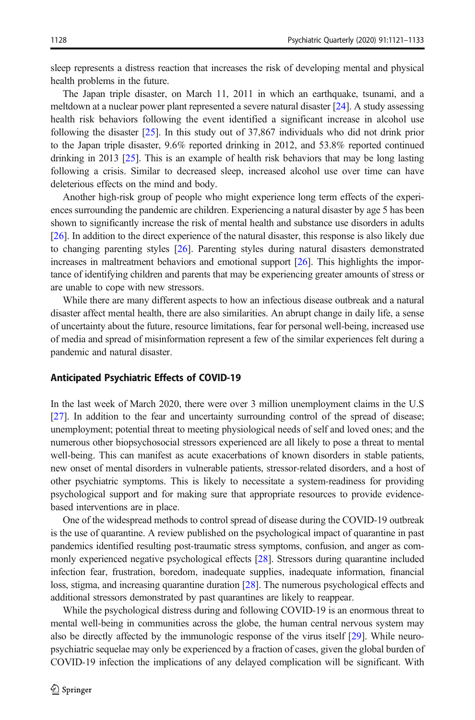sleep represents a distress reaction that increases the risk of developing mental and physical health problems in the future.

The Japan triple disaster, on March 11, 2011 in which an earthquake, tsunami, and a meltdown at a nuclear power plant represented a severe natural disaster [\[24](#page-11-0)]. A study assessing health risk behaviors following the event identified a significant increase in alcohol use following the disaster [\[25\]](#page-11-0). In this study out of 37,867 individuals who did not drink prior to the Japan triple disaster, 9.6% reported drinking in 2012, and 53.8% reported continued drinking in 2013 [\[25](#page-11-0)]. This is an example of health risk behaviors that may be long lasting following a crisis. Similar to decreased sleep, increased alcohol use over time can have deleterious effects on the mind and body.

Another high-risk group of people who might experience long term effects of the experiences surrounding the pandemic are children. Experiencing a natural disaster by age 5 has been shown to significantly increase the risk of mental health and substance use disorders in adults [[26\]](#page-11-0). In addition to the direct experience of the natural disaster, this response is also likely due to changing parenting styles [\[26\]](#page-11-0). Parenting styles during natural disasters demonstrated increases in maltreatment behaviors and emotional support [\[26\]](#page-11-0). This highlights the importance of identifying children and parents that may be experiencing greater amounts of stress or are unable to cope with new stressors.

While there are many different aspects to how an infectious disease outbreak and a natural disaster affect mental health, there are also similarities. An abrupt change in daily life, a sense of uncertainty about the future, resource limitations, fear for personal well-being, increased use of media and spread of misinformation represent a few of the similar experiences felt during a pandemic and natural disaster.

#### Anticipated Psychiatric Effects of COVID-19

In the last week of March 2020, there were over 3 million unemployment claims in the U.S [[27\]](#page-11-0). In addition to the fear and uncertainty surrounding control of the spread of disease; unemployment; potential threat to meeting physiological needs of self and loved ones; and the numerous other biopsychosocial stressors experienced are all likely to pose a threat to mental well-being. This can manifest as acute exacerbations of known disorders in stable patients, new onset of mental disorders in vulnerable patients, stressor-related disorders, and a host of other psychiatric symptoms. This is likely to necessitate a system-readiness for providing psychological support and for making sure that appropriate resources to provide evidencebased interventions are in place.

One of the widespread methods to control spread of disease during the COVID-19 outbreak is the use of quarantine. A review published on the psychological impact of quarantine in past pandemics identified resulting post-traumatic stress symptoms, confusion, and anger as commonly experienced negative psychological effects [[28](#page-11-0)]. Stressors during quarantine included infection fear, frustration, boredom, inadequate supplies, inadequate information, financial loss, stigma, and increasing quarantine duration [\[28](#page-11-0)]. The numerous psychological effects and additional stressors demonstrated by past quarantines are likely to reappear.

While the psychological distress during and following COVID-19 is an enormous threat to mental well-being in communities across the globe, the human central nervous system may also be directly affected by the immunologic response of the virus itself [\[29\]](#page-11-0). While neuropsychiatric sequelae may only be experienced by a fraction of cases, given the global burden of COVID-19 infection the implications of any delayed complication will be significant. With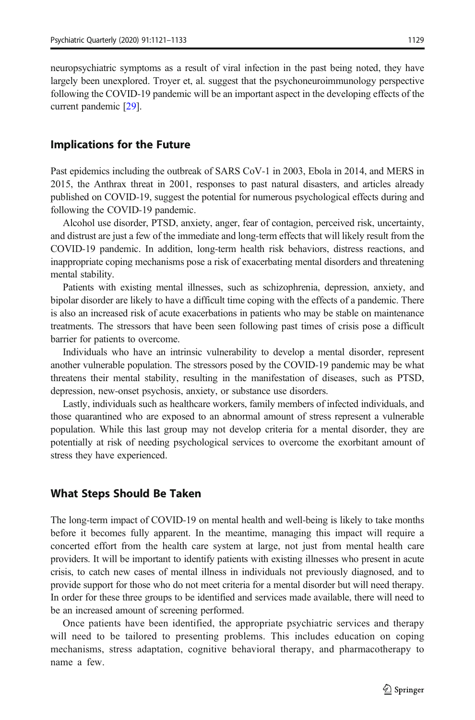neuropsychiatric symptoms as a result of viral infection in the past being noted, they have largely been unexplored. Troyer et, al. suggest that the psychoneuroimmunology perspective following the COVID-19 pandemic will be an important aspect in the developing effects of the current pandemic [[29](#page-11-0)].

### Implications for the Future

Past epidemics including the outbreak of SARS CoV-1 in 2003, Ebola in 2014, and MERS in 2015, the Anthrax threat in 2001, responses to past natural disasters, and articles already published on COVID-19, suggest the potential for numerous psychological effects during and following the COVID-19 pandemic.

Alcohol use disorder, PTSD, anxiety, anger, fear of contagion, perceived risk, uncertainty, and distrust are just a few of the immediate and long-term effects that will likely result from the COVID-19 pandemic. In addition, long-term health risk behaviors, distress reactions, and inappropriate coping mechanisms pose a risk of exacerbating mental disorders and threatening mental stability.

Patients with existing mental illnesses, such as schizophrenia, depression, anxiety, and bipolar disorder are likely to have a difficult time coping with the effects of a pandemic. There is also an increased risk of acute exacerbations in patients who may be stable on maintenance treatments. The stressors that have been seen following past times of crisis pose a difficult barrier for patients to overcome.

Individuals who have an intrinsic vulnerability to develop a mental disorder, represent another vulnerable population. The stressors posed by the COVID-19 pandemic may be what threatens their mental stability, resulting in the manifestation of diseases, such as PTSD, depression, new-onset psychosis, anxiety, or substance use disorders.

Lastly, individuals such as healthcare workers, family members of infected individuals, and those quarantined who are exposed to an abnormal amount of stress represent a vulnerable population. While this last group may not develop criteria for a mental disorder, they are potentially at risk of needing psychological services to overcome the exorbitant amount of stress they have experienced.

#### What Steps Should Be Taken

The long-term impact of COVID-19 on mental health and well-being is likely to take months before it becomes fully apparent. In the meantime, managing this impact will require a concerted effort from the health care system at large, not just from mental health care providers. It will be important to identify patients with existing illnesses who present in acute crisis, to catch new cases of mental illness in individuals not previously diagnosed, and to provide support for those who do not meet criteria for a mental disorder but will need therapy. In order for these three groups to be identified and services made available, there will need to be an increased amount of screening performed.

Once patients have been identified, the appropriate psychiatric services and therapy will need to be tailored to presenting problems. This includes education on coping mechanisms, stress adaptation, cognitive behavioral therapy, and pharmacotherapy to name a few.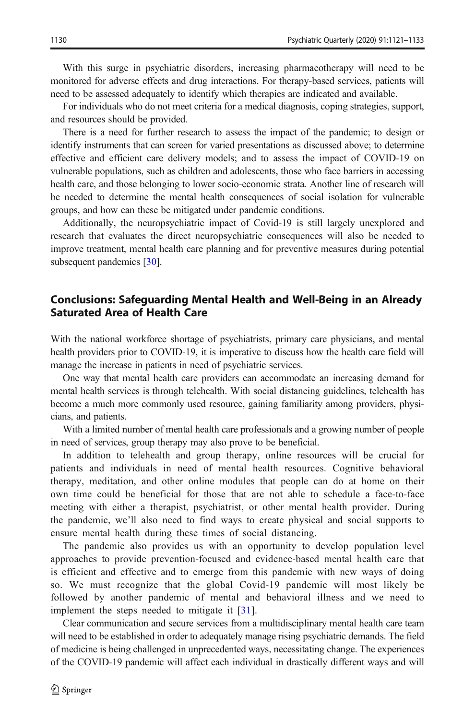With this surge in psychiatric disorders, increasing pharmacotherapy will need to be monitored for adverse effects and drug interactions. For therapy-based services, patients will need to be assessed adequately to identify which therapies are indicated and available.

For individuals who do not meet criteria for a medical diagnosis, coping strategies, support, and resources should be provided.

There is a need for further research to assess the impact of the pandemic; to design or identify instruments that can screen for varied presentations as discussed above; to determine effective and efficient care delivery models; and to assess the impact of COVID-19 on vulnerable populations, such as children and adolescents, those who face barriers in accessing health care, and those belonging to lower socio-economic strata. Another line of research will be needed to determine the mental health consequences of social isolation for vulnerable groups, and how can these be mitigated under pandemic conditions.

Additionally, the neuropsychiatric impact of Covid-19 is still largely unexplored and research that evaluates the direct neuropsychiatric consequences will also be needed to improve treatment, mental health care planning and for preventive measures during potential subsequent pandemics [\[30\]](#page-11-0).

## Conclusions: Safeguarding Mental Health and Well-Being in an Already Saturated Area of Health Care

With the national workforce shortage of psychiatrists, primary care physicians, and mental health providers prior to COVID-19, it is imperative to discuss how the health care field will manage the increase in patients in need of psychiatric services.

One way that mental health care providers can accommodate an increasing demand for mental health services is through telehealth. With social distancing guidelines, telehealth has become a much more commonly used resource, gaining familiarity among providers, physicians, and patients.

With a limited number of mental health care professionals and a growing number of people in need of services, group therapy may also prove to be beneficial.

In addition to telehealth and group therapy, online resources will be crucial for patients and individuals in need of mental health resources. Cognitive behavioral therapy, meditation, and other online modules that people can do at home on their own time could be beneficial for those that are not able to schedule a face-to-face meeting with either a therapist, psychiatrist, or other mental health provider. During the pandemic, we'll also need to find ways to create physical and social supports to ensure mental health during these times of social distancing.

The pandemic also provides us with an opportunity to develop population level approaches to provide prevention-focused and evidence-based mental health care that is efficient and effective and to emerge from this pandemic with new ways of doing so. We must recognize that the global Covid-19 pandemic will most likely be followed by another pandemic of mental and behavioral illness and we need to implement the steps needed to mitigate it [[31\]](#page-11-0).

Clear communication and secure services from a multidisciplinary mental health care team will need to be established in order to adequately manage rising psychiatric demands. The field of medicine is being challenged in unprecedented ways, necessitating change. The experiences of the COVID-19 pandemic will affect each individual in drastically different ways and will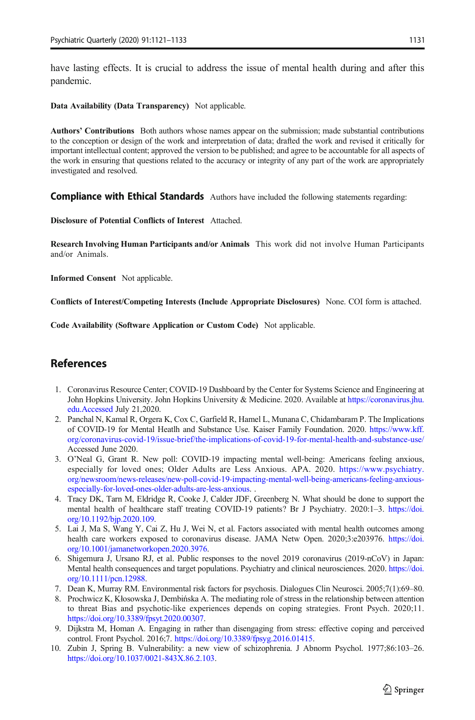<span id="page-10-0"></span>have lasting effects. It is crucial to address the issue of mental health during and after this pandemic.

Data Availability (Data Transparency) Not applicable.

Authors' Contributions Both authors whose names appear on the submission; made substantial contributions to the conception or design of the work and interpretation of data; drafted the work and revised it critically for important intellectual content; approved the version to be published; and agree to be accountable for all aspects of the work in ensuring that questions related to the accuracy or integrity of any part of the work are appropriately investigated and resolved.

**Compliance with Ethical Standards** Authors have included the following statements regarding:

Disclosure of Potential Conflicts of Interest Attached.

Research Involving Human Participants and/or Animals This work did not involve Human Participants and/or Animals.

Informed Consent Not applicable.

Conflicts of Interest/Competing Interests (Include Appropriate Disclosures) None. COI form is attached.

Code Availability (Software Application or Custom Code) Not applicable.

## **References**

- 1. Coronavirus Resource Center; COVID-19 Dashboard by the Center for Systems Science and Engineering at John Hopkins University. John Hopkins University & Medicine. 2020. Available at [https://coronavirus.jhu.](https://coronavirus.jhu.edu.accessed) [edu.Accessed](https://coronavirus.jhu.edu.accessed) July 21,2020.
- 2. Panchal N, Kamal R, Orgera K, Cox C, Garfield R, Hamel L, Munana C, Chidambaram P. The Implications of COVID-19 for Mental Heatlh and Substance Use. Kaiser Family Foundation. 2020. [https://www.kff.](https://www.kff.org/coronavirus-covid-19/issue-brief/the-implications-of-covid-19-for-mental-health-and-substance-use/) [org/coronavirus-covid-19/issue-brief/the-implications-of-covid-19-for-mental-health-and-substance-use/](https://www.kff.org/coronavirus-covid-19/issue-brief/the-implications-of-covid-19-for-mental-health-and-substance-use/) Accessed June 2020.
- 3. O'Neal G, Grant R. New poll: COVID-19 impacting mental well-being: Americans feeling anxious, especially for loved ones; Older Adults are Less Anxious. APA. 2020. [https://www.psychiatry.](https://www.psychiatry.org/newsroom/news-releases/new-poll-covid-19-impacting-mental-well-being-americans-feeling-anxious-especially-for-loved-ones-older-adults-are-less-anxious) [org/newsroom/news-releases/new-poll-covid-19-impacting-mental-well-being-americans-feeling-anxious](https://www.psychiatry.org/newsroom/news-releases/new-poll-covid-19-impacting-mental-well-being-americans-feeling-anxious-especially-for-loved-ones-older-adults-are-less-anxious)[especially-for-loved-ones-older-adults-are-less-anxious.](https://www.psychiatry.org/newsroom/news-releases/new-poll-covid-19-impacting-mental-well-being-americans-feeling-anxious-especially-for-loved-ones-older-adults-are-less-anxious) .
- 4. Tracy DK, Tarn M, Eldridge R, Cooke J, Calder JDF, Greenberg N. What should be done to support the mental health of healthcare staff treating COVID-19 patients? Br J Psychiatry. 2020:1-3. [https://doi.](https://doi.org/10.1192/bjp.2020.109) [org/10.1192/bjp.2020.109.](https://doi.org/10.1192/bjp.2020.109)
- 5. Lai J, Ma S, Wang Y, Cai Z, Hu J, Wei N, et al. Factors associated with mental health outcomes among health care workers exposed to coronavirus disease. JAMA Netw Open. 2020;3:e203976. [https://doi.](https://doi.org/10.1001/jamanetworkopen.2020.3976) [org/10.1001/jamanetworkopen.2020.3976.](https://doi.org/10.1001/jamanetworkopen.2020.3976)
- 6. Shigemura J, Ursano RJ, et al. Public responses to the novel 2019 coronavirus (2019-nCoV) in Japan: Mental health consequences and target populations. Psychiatry and clinical neurosciences. 2020. [https://doi.](https://doi.org/10.1111/pcn.12988) [org/10.1111/pcn.12988](https://doi.org/10.1111/pcn.12988).
- 7. Dean K, Murray RM. Environmental risk factors for psychosis. Dialogues Clin Neurosci. 2005;7(1):69–80.
- 8. Prochwicz K, Kłosowska J, Dembińska A. The mediating role of stress in the relationship between attention to threat Bias and psychotic-like experiences depends on coping strategies. Front Psych. 2020;11. [https://doi.org/10.3389/fpsyt.2020.00307.](https://doi.org/10.3389/fpsyt.2020.00307)
- 9. Dijkstra M, Homan A. Engaging in rather than disengaging from stress: effective coping and perceived control. Front Psychol. 2016;7. <https://doi.org/10.3389/fpsyg.2016.01415>.
- 10. Zubin J, Spring B. Vulnerability: a new view of schizophrenia. J Abnorm Psychol. 1977;86:103–26. [https://doi.org/10.1037/0021-843X.86.2.103.](https://doi.org/10.1037/0021-843X.86.2.103)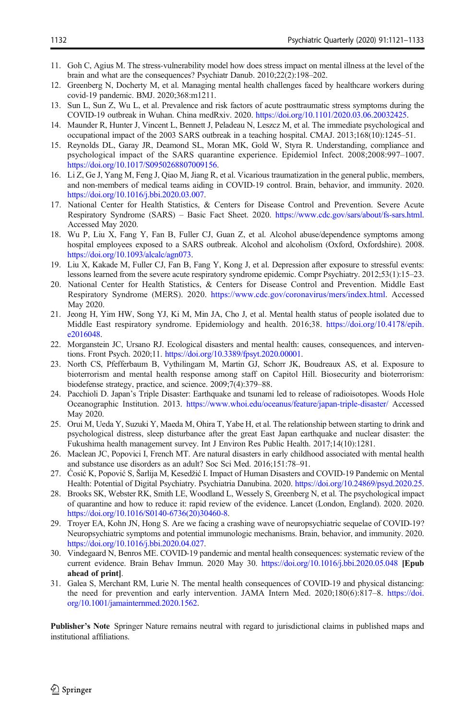- <span id="page-11-0"></span>11. Goh C, Agius M. The stress-vulnerability model how does stress impact on mental illness at the level of the brain and what are the consequences? Psychiatr Danub. 2010;22(2):198–202.
- 12. Greenberg N, Docherty M, et al. Managing mental health challenges faced by healthcare workers during covid-19 pandemic. BMJ. 2020;368:m1211.
- 13. Sun L, Sun Z, Wu L, et al. Prevalence and risk factors of acute posttraumatic stress symptoms during the COVID-19 outbreak in Wuhan. China medRxiv. 2020. <https://doi.org/10.1101/2020.03.06.20032425>.
- 14. Maunder R, Hunter J, Vincent L, Bennett J, Peladeau N, Leszcz M, et al. The immediate psychological and occupational impact of the 2003 SARS outbreak in a teaching hospital. CMAJ. 2013;168(10):1245–51.
- 15. Reynolds DL, Garay JR, Deamond SL, Moran MK, Gold W, Styra R. Understanding, compliance and psychological impact of the SARS quarantine experience. Epidemiol Infect. 2008;2008:997–1007. [https://doi.org/10.1017/S0950268807009156.](https://doi.org/10.1017/S0950268807009156)
- 16. Li Z, Ge J, Yang M, Feng J, Qiao M, Jiang R, et al. Vicarious traumatization in the general public, members, and non-members of medical teams aiding in COVID-19 control. Brain, behavior, and immunity. 2020. [https://doi.org/10.1016/j.bbi.2020.03.007.](https://doi.org/10.1016/j.bbi.2020.03.007)
- 17. National Center for Health Statistics, & Centers for Disease Control and Prevention. Severe Acute Respiratory Syndrome (SARS) – Basic Fact Sheet. 2020. [https://www.cdc.gov/sars/about/fs-sars.html.](https://www.cdc.gov/sars/about/fs-sars.html) Accessed May 2020.
- 18. Wu P, Liu X, Fang Y, Fan B, Fuller CJ, Guan Z, et al. Alcohol abuse/dependence symptoms among hospital employees exposed to a SARS outbreak. Alcohol and alcoholism (Oxford, Oxfordshire). 2008. [https://doi.org/10.1093/alcalc/agn073.](https://doi.org/10.1093/alcalc/agn073)
- 19. Liu X, Kakade M, Fuller CJ, Fan B, Fang Y, Kong J, et al. Depression after exposure to stressful events: lessons learned from the severe acute respiratory syndrome epidemic. Compr Psychiatry. 2012;53(1):15–23.
- 20. National Center for Health Statistics, & Centers for Disease Control and Prevention. Middle East Respiratory Syndrome (MERS). 2020. [https://www.cdc.gov/coronavirus/mers/index.html.](https://www.cdc.gov/coronavirus/mers/index.html) Accessed May 2020.
- 21. Jeong H, Yim HW, Song YJ, Ki M, Min JA, Cho J, et al. Mental health status of people isolated due to Middle East respiratory syndrome. Epidemiology and health. 2016;38. [https://doi.org/10.4178/epih.](https://doi.org/10.4178/epih.e2016048) [e2016048.](https://doi.org/10.4178/epih.e2016048)
- 22. Morganstein JC, Ursano RJ. Ecological disasters and mental health: causes, consequences, and interventions. Front Psych. 2020;11. [https://doi.org/10.3389/fpsyt.2020.00001.](https://doi.org/10.3389/fpsyt.2020.00001)
- 23. North CS, Pfefferbaum B, Vythilingam M, Martin GJ, Schorr JK, Boudreaux AS, et al. Exposure to bioterrorism and mental health response among staff on Capitol Hill. Biosecurity and bioterrorism: biodefense strategy, practice, and science. 2009;7(4):379–88.
- 24. Pacchioli D. Japan's Triple Disaster: Earthquake and tsunami led to release of radioisotopes. Woods Hole Oceanographic Institution. 2013. <https://www.whoi.edu/oceanus/feature/japan-triple-disaster/> Accessed May 2020.
- 25. Orui M, Ueda Y, Suzuki Y, Maeda M, Ohira T, Yabe H, et al. The relationship between starting to drink and psychological distress, sleep disturbance after the great East Japan earthquake and nuclear disaster: the Fukushima health management survey. Int J Environ Res Public Health. 2017;14(10):1281.
- 26. Maclean JC, Popovici I, French MT. Are natural disasters in early childhood associated with mental health and substance use disorders as an adult? Soc Sci Med. 2016;151:78–91.
- 27. Ćosić K, Popović S, Šarlija M, Kesedžić I. Impact of Human Disasters and COVID-19 Pandemic on Mental Health: Potential of Digital Psychiatry. Psychiatria Danubina. 2020. [https://doi.org/10.24869/psyd.2020.25.](https://doi.org/10.24869/psyd.2020.25)
- 28. Brooks SK, Webster RK, Smith LE, Woodland L, Wessely S, Greenberg N, et al. The psychological impact of quarantine and how to reduce it: rapid review of the evidence. Lancet (London, England). 2020. 2020. [https://doi.org/10.1016/S0140-6736\(20\)30460-8.](https://doi.org/10.1016/S0140-6736(20)30460-8)
- 29. Troyer EA, Kohn JN, Hong S. Are we facing a crashing wave of neuropsychiatric sequelae of COVID-19? Neuropsychiatric symptoms and potential immunologic mechanisms. Brain, behavior, and immunity. 2020. [https://doi.org/10.1016/j.bbi.2020.04.027.](https://doi.org/10.1016/j.bbi.2020.04.027)
- 30. Vindegaard N, Benros ME. COVID-19 pandemic and mental health consequences: systematic review of the current evidence. Brain Behav Immun. 2020 May 30. <https://doi.org/10.1016/j.bbi.2020.05.048> [Epub ahead of print].
- 31. Galea S, Merchant RM, Lurie N. The mental health consequences of COVID-19 and physical distancing: the need for prevention and early intervention. JAMA Intern Med. 2020;180(6):817–8. [https://doi.](https://doi.org/10.1001/jamainternmed.2020.1562) [org/10.1001/jamainternmed.2020.1562](https://doi.org/10.1001/jamainternmed.2020.1562).

Publisher's Note Springer Nature remains neutral with regard to jurisdictional claims in published maps and institutional affiliations.